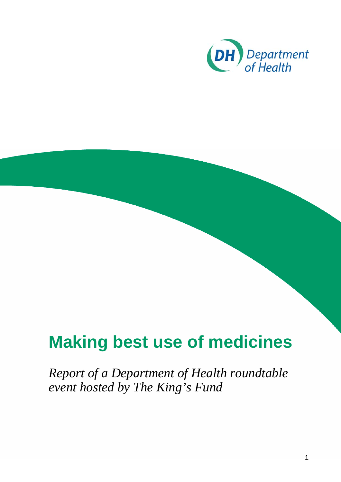

*Report of a Department of Health roundtable event hosted by The King's Fund*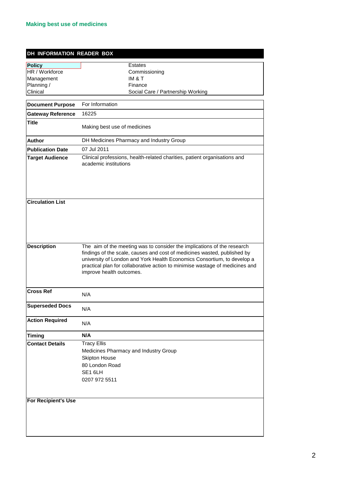| DH INFORMATION READER BOX |                                                                                                                                                                                                                                                                                                                                            |  |
|---------------------------|--------------------------------------------------------------------------------------------------------------------------------------------------------------------------------------------------------------------------------------------------------------------------------------------------------------------------------------------|--|
| <b>Policy</b>             | Estates                                                                                                                                                                                                                                                                                                                                    |  |
| HR / Workforce            | Commissioning                                                                                                                                                                                                                                                                                                                              |  |
| Management                | IM & T                                                                                                                                                                                                                                                                                                                                     |  |
| Planning /                | Finance                                                                                                                                                                                                                                                                                                                                    |  |
| Clinical                  | Social Care / Partnership Working                                                                                                                                                                                                                                                                                                          |  |
| <b>Document Purpose</b>   | For Information                                                                                                                                                                                                                                                                                                                            |  |
| <b>Gateway Reference</b>  | 16225                                                                                                                                                                                                                                                                                                                                      |  |
| <b>Title</b>              | Making best use of medicines                                                                                                                                                                                                                                                                                                               |  |
| <b>Author</b>             | DH Medicines Pharmacy and Industry Group                                                                                                                                                                                                                                                                                                   |  |
| <b>Publication Date</b>   | 07 Jul 2011                                                                                                                                                                                                                                                                                                                                |  |
| <b>Target Audience</b>    | Clinical professions, health-related charities, patient organisations and<br>academic institutions                                                                                                                                                                                                                                         |  |
| <b>Circulation List</b>   |                                                                                                                                                                                                                                                                                                                                            |  |
| <b>Description</b>        | The aim of the meeting was to consider the implications of the research<br>findings of the scale, causes and cost of medicines wasted, published by<br>university of London and York Health Economics Consortium, to develop a<br>practical plan for collaborative action to minimise wastage of medicines and<br>improve health outcomes. |  |
| <b>Cross Ref</b>          | N/A                                                                                                                                                                                                                                                                                                                                        |  |
| <b>Superseded Docs</b>    | N/A                                                                                                                                                                                                                                                                                                                                        |  |
| <b>Action Required</b>    | N/A                                                                                                                                                                                                                                                                                                                                        |  |
| <b>Timing</b>             | N/A                                                                                                                                                                                                                                                                                                                                        |  |
| <b>Contact Details</b>    | <b>Tracy Ellis</b><br>Medicines Pharmacy and Industry Group<br><b>Skipton House</b><br>80 London Road<br>SE1 6LH<br>0207 972 5511                                                                                                                                                                                                          |  |
| For Recipient's Use       |                                                                                                                                                                                                                                                                                                                                            |  |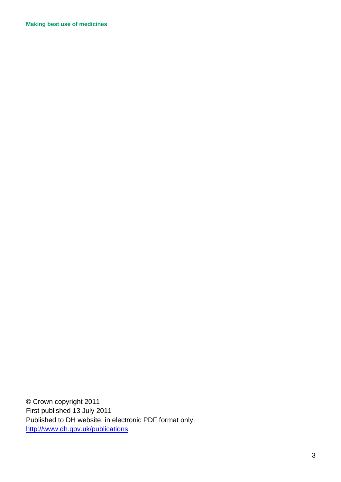© Crown copyright 2011 First published 13 July 2011 Published to DH website, in electronic PDF format only. <http://www.dh.gov.uk/publications>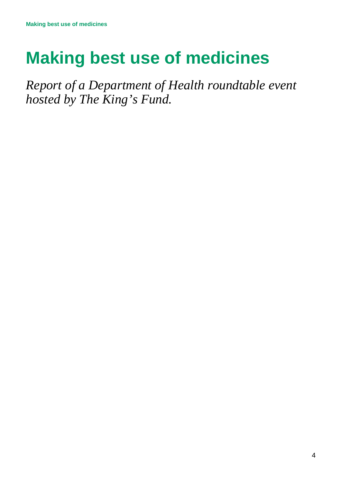*Report of a Department of Health roundtable event hosted by The King's Fund.*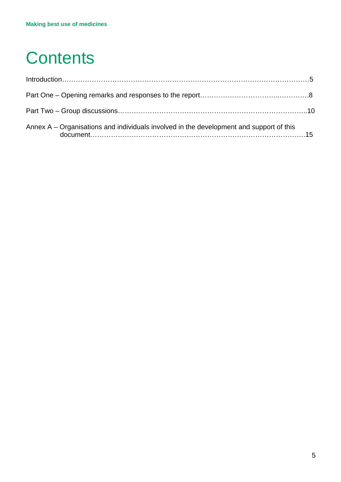## **Contents**

| Annex $A - Organisations$ and individuals involved in the development and support of this |  |
|-------------------------------------------------------------------------------------------|--|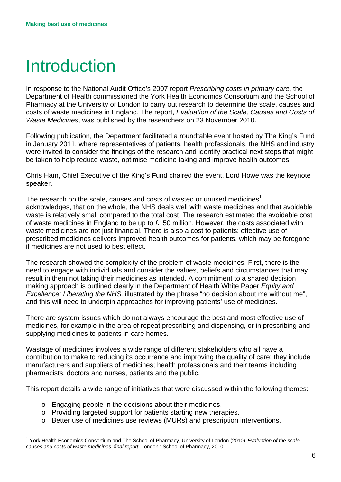## Introduction

In response to the National Audit Office's 2007 report *Prescribing costs in primary care*, the Department of Health commissioned the York Health Economics Consortium and the School of Pharmacy at the University of London to carry out research to determine the scale, causes and costs of waste medicines in England. The report, *Evaluation of the Scale, Causes and Costs of Waste Medicines*, was published by the researchers on 23 November 2010.

Following publication, the Department facilitated a roundtable event hosted by The King's Fund in January 2011, where representatives of patients, health professionals, the NHS and industry were invited to consider the findings of the research and identify practical next steps that might be taken to help reduce waste, optimise medicine taking and improve health outcomes.

Chris Ham, Chief Executive of the King's Fund chaired the event. Lord Howe was the keynote speaker.

The research on the scale, causes and costs of wasted or unused medicines<sup>[1](#page-5-0)</sup> acknowledges, that on the whole, the NHS deals well with waste medicines and that avoidable waste is relatively small compared to the total cost. The research estimated the avoidable cost of waste medicines in England to be up to £150 million. However, the costs associated with waste medicines are not just financial. There is also a cost to patients: effective use of prescribed medicines delivers improved health outcomes for patients, which may be foregone if medicines are not used to best effect.

The research showed the complexity of the problem of waste medicines. First, there is the need to engage with individuals and consider the values, beliefs and circumstances that may result in them not taking their medicines as intended. A commitment to a shared decision making approach is outlined clearly in the Department of Health White Paper *Equity and Excellence: Liberating the NHS,* illustrated by the phrase "no decision about me without me", and this will need to underpin approaches for improving patients' use of medicines.

There are system issues which do not always encourage the best and most effective use of medicines, for example in the area of repeat prescribing and dispensing, or in prescribing and supplying medicines to patients in care homes.

Wastage of medicines involves a wide range of different stakeholders who all have a contribution to make to reducing its occurrence and improving the quality of care: they include manufacturers and suppliers of medicines; health professionals and their teams including pharmacists, doctors and nurses, patients and the public.

This report details a wide range of initiatives that were discussed within the following themes:

- o Engaging people in the decisions about their medicines.
- o Providing targeted support for patients starting new therapies.
- o Better use of medicines use reviews (MURs) and prescription interventions.

<span id="page-5-0"></span> <sup>1</sup> York Health Economics Consortium and The School of Pharmacy, University of London (2010) *Evaluation of the scale, causes and costs of waste medicines: final report*. London : School of Pharmacy, 2010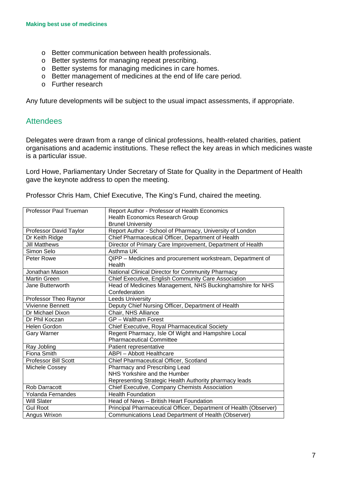- o Better communication between health professionals.
- o Better systems for managing repeat prescribing.
- o Better systems for managing medicines in care homes.
- o Better management of medicines at the end of life care period.
- o Further research

Any future developments will be subject to the usual impact assessments, if appropriate.

#### **Attendees**

Delegates were drawn from a range of clinical professions, health-related charities, patient organisations and academic institutions. These reflect the key areas in which medicines waste is a particular issue.

Lord Howe, Parliamentary Under Secretary of State for Quality in the Department of Health gave the keynote address to open the meeting.

Professor Chris Ham, Chief Executive, The King's Fund, chaired the meeting.

| Professor Paul Trueman      | Report Author - Professor of Health Economics                     |
|-----------------------------|-------------------------------------------------------------------|
|                             | <b>Health Economics Research Group</b>                            |
|                             | <b>Brunel University</b>                                          |
| Professor David Taylor      | Report Author - School of Pharmacy, University of London          |
| Dr Keith Ridge              | Chief Pharmaceutical Officer, Department of Health                |
| <b>Jill Matthews</b>        | Director of Primary Care Improvement, Department of Health        |
| Simon Selo                  | Asthma UK                                                         |
| Peter Rowe                  | QIPP - Medicines and procurement workstream, Department of        |
|                             | Health                                                            |
| Jonathan Mason              | National Clinical Director for Community Pharmacy                 |
| <b>Martin Green</b>         | Chief Executive, English Community Care Association               |
| Jane Butterworth            | Head of Medicines Management, NHS Buckinghamshire for NHS         |
|                             | Confederation                                                     |
| Professor Theo Raynor       | <b>Leeds University</b>                                           |
| <b>Vivienne Bennett</b>     | Deputy Chief Nursing Officer, Department of Health                |
| Dr Michael Dixon            | Chair, NHS Alliance                                               |
| Dr Phil Koczan              | <b>GP</b> – Waltham Forest                                        |
| Helen Gordon                | Chief Executive, Royal Pharmaceutical Society                     |
| <b>Gary Warner</b>          | Regent Pharmacy, Isle Of Wight and Hampshire Local                |
|                             | <b>Pharmaceutical Committee</b>                                   |
| Ray Jobling                 | Patient representative                                            |
| Fiona Smith                 | <b>ABPI</b> - Abbott Healthcare                                   |
| <b>Professor Bill Scott</b> | Chief Pharmaceutical Officer, Scotland                            |
| Michele Cossey              | Pharmacy and Prescribing Lead                                     |
|                             | NHS Yorkshire and the Humber                                      |
|                             | Representing Strategic Health Authority pharmacy leads            |
| Rob Darracott               | <b>Chief Executive, Company Chemists Association</b>              |
| Yolanda Fernandes           | <b>Health Foundation</b>                                          |
| <b>Will Slater</b>          | Head of News - British Heart Foundation                           |
| <b>Gul Root</b>             | Principal Pharmaceutical Officer, Department of Health (Observer) |
| Angus Wrixon                | Communications Lead Department of Health (Observer)               |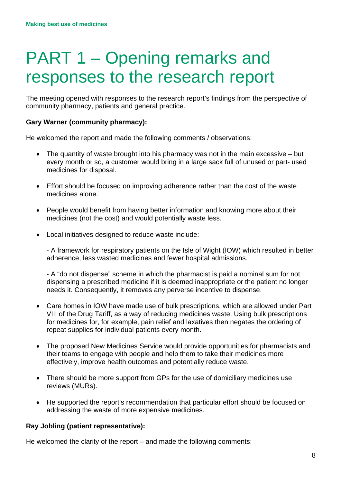## PART 1 – Opening remarks and responses to the research report

The meeting opened with responses to the research report's findings from the perspective of community pharmacy, patients and general practice.

#### **Gary Warner (community pharmacy):**

He welcomed the report and made the following comments / observations:

- The quantity of waste brought into his pharmacy was not in the main excessive but every month or so, a customer would bring in a large sack full of unused or part- used medicines for disposal.
- Effort should be focused on improving adherence rather than the cost of the waste medicines alone.
- People would benefit from having better information and knowing more about their medicines (not the cost) and would potentially waste less.
- Local initiatives designed to reduce waste include:

- A framework for respiratory patients on the Isle of Wight (IOW) which resulted in better adherence, less wasted medicines and fewer hospital admissions.

- A "do not dispense" scheme in which the pharmacist is paid a nominal sum for not dispensing a prescribed medicine if it is deemed inappropriate or the patient no longer needs it. Consequently, it removes any perverse incentive to dispense.

- Care homes in IOW have made use of bulk prescriptions, which are allowed under Part VIII of the Drug Tariff, as a way of reducing medicines waste. Using bulk prescriptions for medicines for, for example, pain relief and laxatives then negates the ordering of repeat supplies for individual patients every month.
- The proposed New Medicines Service would provide opportunities for pharmacists and their teams to engage with people and help them to take their medicines more effectively, improve health outcomes and potentially reduce waste.
- There should be more support from GPs for the use of domiciliary medicines use reviews (MURs).
- He supported the report's recommendation that particular effort should be focused on addressing the waste of more expensive medicines.

#### **Ray Jobling (patient representative):**

He welcomed the clarity of the report – and made the following comments: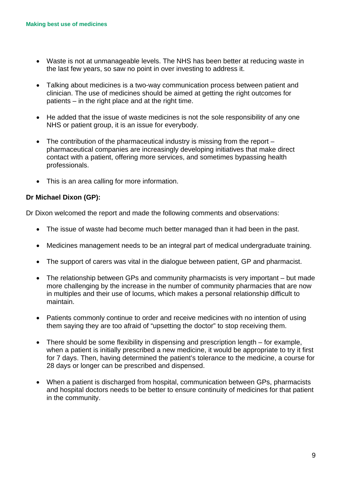- Waste is not at unmanageable levels. The NHS has been better at reducing waste in the last few years, so saw no point in over investing to address it.
- Talking about medicines is a two-way communication process between patient and clinician. The use of medicines should be aimed at getting the right outcomes for patients – in the right place and at the right time.
- He added that the issue of waste medicines is not the sole responsibility of any one NHS or patient group, it is an issue for everybody.
- The contribution of the pharmaceutical industry is missing from the report pharmaceutical companies are increasingly developing initiatives that make direct contact with a patient, offering more services, and sometimes bypassing health professionals.
- This is an area calling for more information.

#### **Dr Michael Dixon (GP):**

Dr Dixon welcomed the report and made the following comments and observations:

- The issue of waste had become much better managed than it had been in the past.
- Medicines management needs to be an integral part of medical undergraduate training.
- The support of carers was vital in the dialogue between patient, GP and pharmacist.
- The relationship between GPs and community pharmacists is very important but made more challenging by the increase in the number of community pharmacies that are now in multiples and their use of locums, which makes a personal relationship difficult to maintain.
- Patients commonly continue to order and receive medicines with no intention of using them saying they are too afraid of "upsetting the doctor" to stop receiving them.
- There should be some flexibility in dispensing and prescription length for example, when a patient is initially prescribed a new medicine, it would be appropriate to try it first for 7 days. Then, having determined the patient's tolerance to the medicine, a course for 28 days or longer can be prescribed and dispensed.
- When a patient is discharged from hospital, communication between GPs, pharmacists and hospital doctors needs to be better to ensure continuity of medicines for that patient in the community.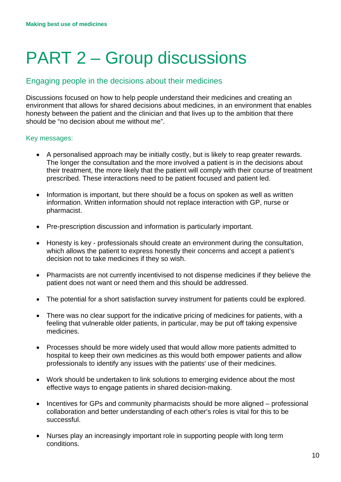# PART 2 – Group discussions

## Engaging people in the decisions about their medicines

Discussions focused on how to help people understand their medicines and creating an environment that allows for shared decisions about medicines, in an environment that enables honesty between the patient and the clinician and that lives up to the ambition that there should be "no decision about me without me".

#### Key messages:

- A personalised approach may be initially costly, but is likely to reap greater rewards. The longer the consultation and the more involved a patient is in the decisions about their treatment, the more likely that the patient will comply with their course of treatment prescribed. These interactions need to be patient focused and patient led.
- Information is important, but there should be a focus on spoken as well as written information. Written information should not replace interaction with GP, nurse or pharmacist.
- Pre-prescription discussion and information is particularly important.
- Honesty is key professionals should create an environment during the consultation, which allows the patient to express honestly their concerns and accept a patient's decision not to take medicines if they so wish.
- Pharmacists are not currently incentivised to not dispense medicines if they believe the patient does not want or need them and this should be addressed.
- The potential for a short satisfaction survey instrument for patients could be explored.
- There was no clear support for the indicative pricing of medicines for patients, with a feeling that vulnerable older patients, in particular, may be put off taking expensive medicines.
- Processes should be more widely used that would allow more patients admitted to hospital to keep their own medicines as this would both empower patients and allow professionals to identify any issues with the patients' use of their medicines.
- Work should be undertaken to link solutions to emerging evidence about the most effective ways to engage patients in shared decision-making.
- Incentives for GPs and community pharmacists should be more aligned professional collaboration and better understanding of each other's roles is vital for this to be successful.
- Nurses play an increasingly important role in supporting people with long term conditions.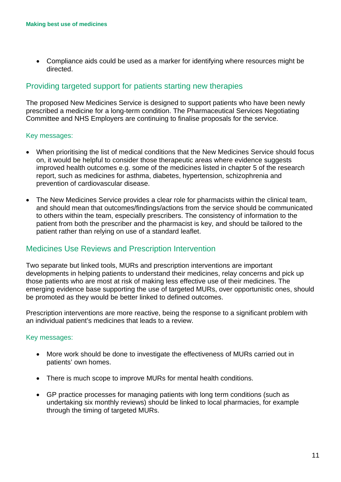• Compliance aids could be used as a marker for identifying where resources might be directed.

## Providing targeted support for patients starting new therapies

The proposed New Medicines Service is designed to support patients who have been newly prescribed a medicine for a long-term condition. The Pharmaceutical Services Negotiating Committee and NHS Employers are continuing to finalise proposals for the service.

#### Key messages:

- When prioritising the list of medical conditions that the New Medicines Service should focus on, it would be helpful to consider those therapeutic areas where evidence suggests improved health outcomes e.g. some of the medicines listed in chapter 5 of the research report, such as medicines for asthma, diabetes, hypertension, schizophrenia and prevention of cardiovascular disease.
- The New Medicines Service provides a clear role for pharmacists within the clinical team, and should mean that outcomes/findings/actions from the service should be communicated to others within the team, especially prescribers. The consistency of information to the patient from both the prescriber and the pharmacist is key, and should be tailored to the patient rather than relying on use of a standard leaflet.

### Medicines Use Reviews and Prescription Intervention

Two separate but linked tools, MURs and prescription interventions are important developments in helping patients to understand their medicines, relay concerns and pick up those patients who are most at risk of making less effective use of their medicines. The emerging evidence base supporting the use of targeted MURs, over opportunistic ones, should be promoted as they would be better linked to defined outcomes.

Prescription interventions are more reactive, being the response to a significant problem with an individual patient's medicines that leads to a review.

#### Key messages:

- More work should be done to investigate the effectiveness of MURs carried out in patients' own homes.
- There is much scope to improve MURs for mental health conditions.
- GP practice processes for managing patients with long term conditions (such as undertaking six monthly reviews) should be linked to local pharmacies, for example through the timing of targeted MURs.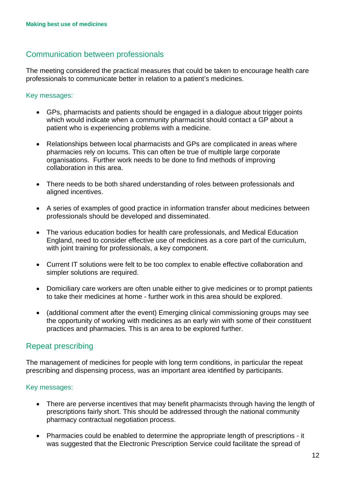## Communication between professionals

The meeting considered the practical measures that could be taken to encourage health care professionals to communicate better in relation to a patient's medicines.

#### Key messages:

- GPs, pharmacists and patients should be engaged in a dialogue about trigger points which would indicate when a community pharmacist should contact a GP about a patient who is experiencing problems with a medicine.
- Relationships between local pharmacists and GPs are complicated in areas where pharmacies rely on locums. This can often be true of multiple large corporate organisations. Further work needs to be done to find methods of improving collaboration in this area.
- There needs to be both shared understanding of roles between professionals and aligned incentives.
- A series of examples of good practice in information transfer about medicines between professionals should be developed and disseminated.
- The various education bodies for health care professionals, and Medical Education England, need to consider effective use of medicines as a core part of the curriculum, with joint training for professionals, a key component.
- Current IT solutions were felt to be too complex to enable effective collaboration and simpler solutions are required.
- Domiciliary care workers are often unable either to give medicines or to prompt patients to take their medicines at home - further work in this area should be explored.
- (additional comment after the event) Emerging clinical commissioning groups may see the opportunity of working with medicines as an early win with some of their constituent practices and pharmacies. This is an area to be explored further.

### Repeat prescribing

The management of medicines for people with long term conditions, in particular the repeat prescribing and dispensing process, was an important area identified by participants.

#### Key messages:

- There are perverse incentives that may benefit pharmacists through having the length of prescriptions fairly short. This should be addressed through the national community pharmacy contractual negotiation process.
- Pharmacies could be enabled to determine the appropriate length of prescriptions it was suggested that the Electronic Prescription Service could facilitate the spread of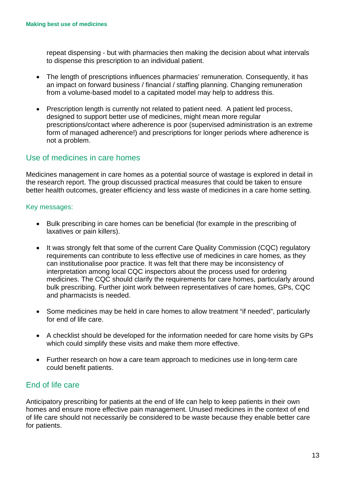repeat dispensing - but with pharmacies then making the decision about what intervals to dispense this prescription to an individual patient.

- The length of prescriptions influences pharmacies' remuneration. Consequently, it has an impact on forward business / financial / staffing planning. Changing remuneration from a volume-based model to a capitated model may help to address this.
- Prescription length is currently not related to patient need. A patient led process, designed to support better use of medicines, might mean more regular prescriptions/contact where adherence is poor (supervised administration is an extreme form of managed adherence!) and prescriptions for longer periods where adherence is not a problem.

## Use of medicines in care homes

Medicines management in care homes as a potential source of wastage is explored in detail in the research report. The group discussed practical measures that could be taken to ensure better health outcomes, greater efficiency and less waste of medicines in a care home setting.

#### Key messages:

- Bulk prescribing in care homes can be beneficial (for example in the prescribing of laxatives or pain killers).
- It was strongly felt that some of the current Care Quality Commission (CQC) regulatory requirements can contribute to less effective use of medicines in care homes, as they can institutionalise poor practice. It was felt that there may be inconsistency of interpretation among local CQC inspectors about the process used for ordering medicines. The CQC should clarify the requirements for care homes, particularly around bulk prescribing. Further joint work between representatives of care homes, GPs, CQC and pharmacists is needed.
- Some medicines may be held in care homes to allow treatment "if needed", particularly for end of life care.
- A checklist should be developed for the information needed for care home visits by GPs which could simplify these visits and make them more effective.
- Further research on how a care team approach to medicines use in long-term care could benefit patients.

### End of life care

Anticipatory prescribing for patients at the end of life can help to keep patients in their own homes and ensure more effective pain management. Unused medicines in the context of end of life care should not necessarily be considered to be waste because they enable better care for patients.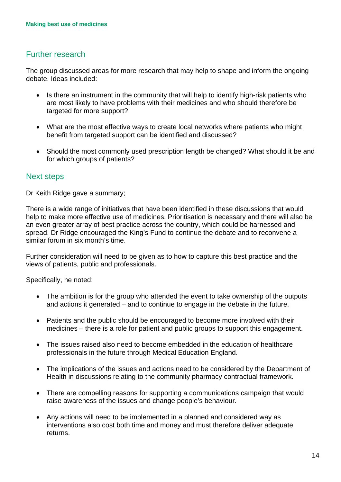## Further research

The group discussed areas for more research that may help to shape and inform the ongoing debate. Ideas included:

- Is there an instrument in the community that will help to identify high-risk patients who are most likely to have problems with their medicines and who should therefore be targeted for more support?
- What are the most effective ways to create local networks where patients who might benefit from targeted support can be identified and discussed?
- Should the most commonly used prescription length be changed? What should it be and for which groups of patients?

### Next steps

Dr Keith Ridge gave a summary;

There is a wide range of initiatives that have been identified in these discussions that would help to make more effective use of medicines. Prioritisation is necessary and there will also be an even greater array of best practice across the country, which could be harnessed and spread. Dr Ridge encouraged the King's Fund to continue the debate and to reconvene a similar forum in six month's time.

Further consideration will need to be given as to how to capture this best practice and the views of patients, public and professionals.

Specifically, he noted:

- The ambition is for the group who attended the event to take ownership of the outputs and actions it generated – and to continue to engage in the debate in the future.
- Patients and the public should be encouraged to become more involved with their medicines – there is a role for patient and public groups to support this engagement.
- The issues raised also need to become embedded in the education of healthcare professionals in the future through Medical Education England.
- The implications of the issues and actions need to be considered by the Department of Health in discussions relating to the community pharmacy contractual framework.
- There are compelling reasons for supporting a communications campaign that would raise awareness of the issues and change people's behaviour.
- Any actions will need to be implemented in a planned and considered way as interventions also cost both time and money and must therefore deliver adequate returns.